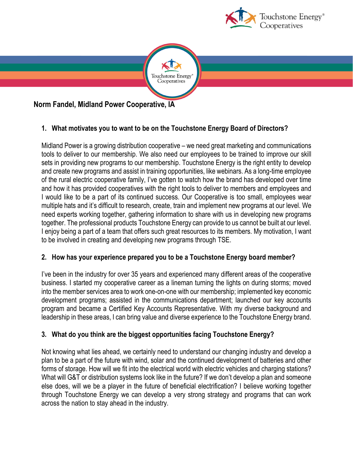



**Norm Fandel, Midland Power Cooperative, IA** 

# **1. What motivates you to want to be on the Touchstone Energy Board of Directors?**

Midland Power is a growing distribution cooperative – we need great marketing and communications tools to deliver to our membership. We also need our employees to be trained to improve our skill sets in providing new programs to our membership. Touchstone Energy is the right entity to develop and create new programs and assist in training opportunities, like webinars. As a long-time employee of the rural electric cooperative family, I've gotten to watch how the brand has developed over time and how it has provided cooperatives with the right tools to deliver to members and employees and I would like to be a part of its continued success. Our Cooperative is too small, employees wear multiple hats and it's difficult to research, create, train and implement new programs at our level. We need experts working together, gathering information to share with us in developing new programs together. The professional products Touchstone Energy can provide to us cannot be built at our level. I enjoy being a part of a team that offers such great resources to its members. My motivation, I want to be involved in creating and developing new programs through TSE.

## **2. How has your experience prepared you to be a Touchstone Energy board member?**

I've been in the industry for over 35 years and experienced many different areas of the cooperative business. I started my cooperative career as a lineman turning the lights on during storms; moved into the member services area to work one-on-one with our membership; implemented key economic development programs; assisted in the communications department; launched our key accounts program and became a Certified Key Accounts Representative. With my diverse background and leadership in these areas, I can bring value and diverse experience to the Touchstone Energy brand.

# **3. What do you think are the biggest opportunities facing Touchstone Energy?**

Not knowing what lies ahead, we certainly need to understand our changing industry and develop a plan to be a part of the future with wind, solar and the continued development of batteries and other forms of storage. How will we fit into the electrical world with electric vehicles and charging stations? What will G&T or distribution systems look like in the future? If we don't develop a plan and someone else does, will we be a player in the future of beneficial electrification? I believe working together through Touchstone Energy we can develop a very strong strategy and programs that can work across the nation to stay ahead in the industry.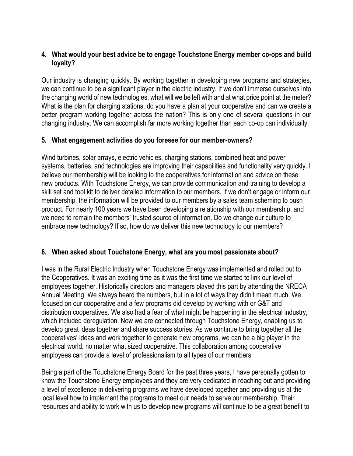## **4. What would your best advice be to engage Touchstone Energy member co-ops and build loyalty?**

Our industry is changing quickly. By working together in developing new programs and strategies, we can continue to be a significant player in the electric industry. If we don't immerse ourselves into the changing world of new technologies, what will we be left with and at what price point at the meter? What is the plan for charging stations, do you have a plan at your cooperative and can we create a better program working together across the nation? This is only one of several questions in our changing industry. We can accomplish far more working together than each co-op can individually.

### **5. What engagement activities do you foresee for our member-owners?**

Wind turbines, solar arrays, electric vehicles, charging stations, combined heat and power systems, batteries, and technologies are improving their capabilities and functionality very quickly. I believe our membership will be looking to the cooperatives for information and advice on these new products. With Touchstone Energy, we can provide communication and training to develop a skill set and tool kit to deliver detailed information to our members. If we don't engage or inform our membership, the information will be provided to our members by a sales team scheming to push product. For nearly 100 years we have been developing a relationship with our membership, and we need to remain the members' trusted source of information. Do we change our culture to embrace new technology? If so, how do we deliver this new technology to our members?

## **6. When asked about Touchstone Energy, what are you most passionate about?**

I was in the Rural Electric Industry when Touchstone Energy was implemented and rolled out to the Cooperatives. It was an exciting time as it was the first time we started to link our level of employees together. Historically directors and managers played this part by attending the NRECA Annual Meeting. We always heard the numbers, but in a lot of ways they didn't mean much. We focused on our cooperative and a few programs did develop by working with or G&T and distribution cooperatives. We also had a fear of what might be happening in the electrical industry, which included deregulation. Now we are connected through Touchstone Energy, enabling us to develop great ideas together and share success stories. As we continue to bring together all the cooperatives' ideas and work together to generate new programs, we can be a big player in the electrical world, no matter what sized cooperative. This collaboration among cooperative employees can provide a level of professionalism to all types of our members.

Being a part of the Touchstone Energy Board for the past three years, I have personally gotten to know the Touchstone Energy employees and they are very dedicated in reaching out and providing a level of excellence in delivering programs we have developed together and providing us at the local level how to implement the programs to meet our needs to serve our membership. Their resources and ability to work with us to develop new programs will continue to be a great benefit to